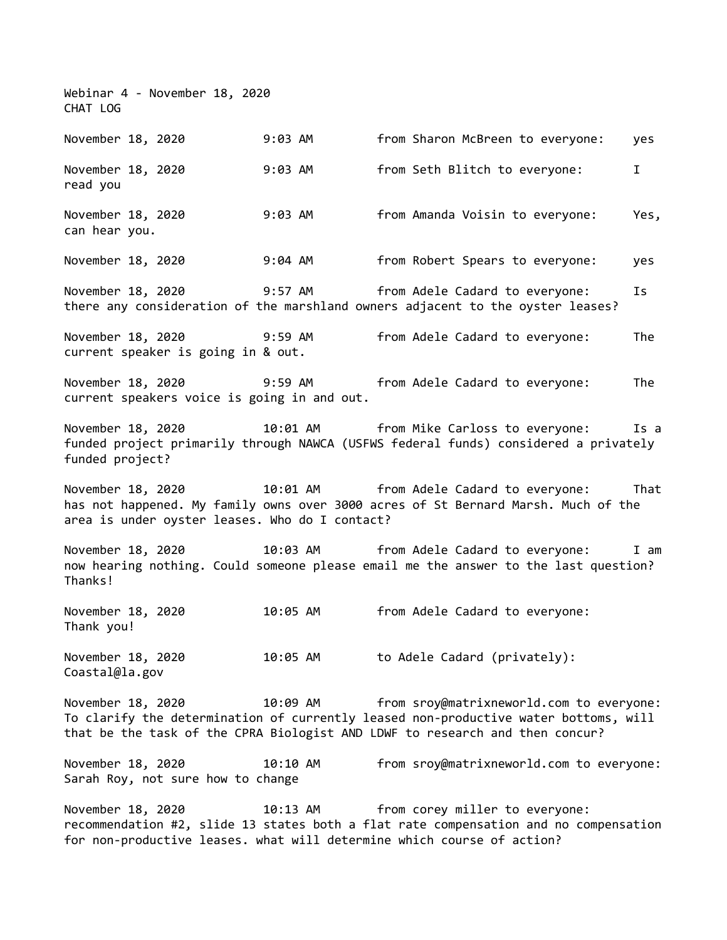Webinar 4 - November 18, 2020 CHAT LOG November 18, 2020 9:03 AM from Sharon McBreen to everyone: yes November 18, 2020 9:03 AM from Seth Blitch to everyone: I read you November 18, 2020 9:03 AM from Amanda Voisin to everyone: Yes, can hear you. November 18, 2020 9:04 AM from Robert Spears to everyone: yes November 18, 2020 9:57 AM from Adele Cadard to everyone: Is there any consideration of the marshland owners adjacent to the oyster leases? November 18, 2020 9:59 AM from Adele Cadard to everyone: The current speaker is going in & out. November 18, 2020 9:59 AM from Adele Cadard to everyone: The current speakers voice is going in and out. November 18, 2020 10:01 AM from Mike Carloss to everyone: Is a funded project primarily through NAWCA (USFWS federal funds) considered a privately funded project? November 18, 2020 10:01 AM from Adele Cadard to everyone: That has not happened. My family owns over 3000 acres of St Bernard Marsh. Much of the area is under oyster leases. Who do I contact? November 18, 2020 10:03 AM from Adele Cadard to everyone: I am now hearing nothing. Could someone please email me the answer to the last question? Thanks! November 18, 2020 10:05 AM from Adele Cadard to everyone: Thank you! November 18, 2020 10:05 AM to Adele Cadard (privately): Coastal@la.gov November 18, 2020 10:09 AM from sroy@matrixneworld.com to everyone: To clarify the determination of currently leased non-productive water bottoms, will that be the task of the CPRA Biologist AND LDWF to research and then concur? November 18, 2020 10:10 AM from sroy@matrixneworld.com to everyone: Sarah Roy, not sure how to change November 18, 2020 10:13 AM from corey miller to everyone: recommendation #2, slide 13 states both a flat rate compensation and no compensation for non-productive leases. what will determine which course of action?